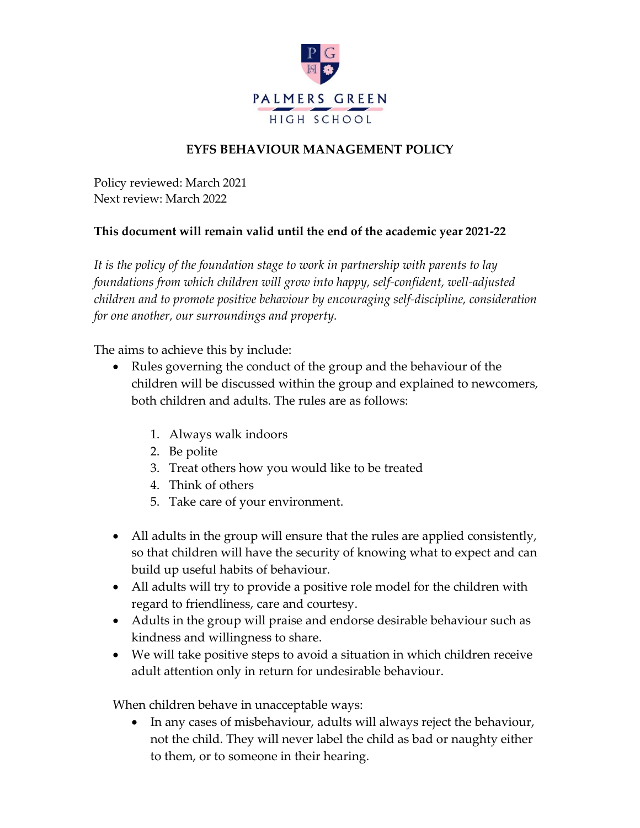

## **EYFS BEHAVIOUR MANAGEMENT POLICY**

Policy reviewed: March 2021 Next review: March 2022

## **This document will remain valid until the end of the academic year 2021-22**

*It is the policy of the foundation stage to work in partnership with parents to lay foundations from which children will grow into happy, self-confident, well-adjusted children and to promote positive behaviour by encouraging self-discipline, consideration for one another, our surroundings and property.*

The aims to achieve this by include:

- Rules governing the conduct of the group and the behaviour of the children will be discussed within the group and explained to newcomers, both children and adults. The rules are as follows:
	- 1. Always walk indoors
	- 2. Be polite
	- 3. Treat others how you would like to be treated
	- 4. Think of others
	- 5. Take care of your environment.
- All adults in the group will ensure that the rules are applied consistently, so that children will have the security of knowing what to expect and can build up useful habits of behaviour.
- All adults will try to provide a positive role model for the children with regard to friendliness, care and courtesy.
- Adults in the group will praise and endorse desirable behaviour such as kindness and willingness to share.
- We will take positive steps to avoid a situation in which children receive adult attention only in return for undesirable behaviour.

When children behave in unacceptable ways:

• In any cases of misbehaviour, adults will always reject the behaviour, not the child. They will never label the child as bad or naughty either to them, or to someone in their hearing.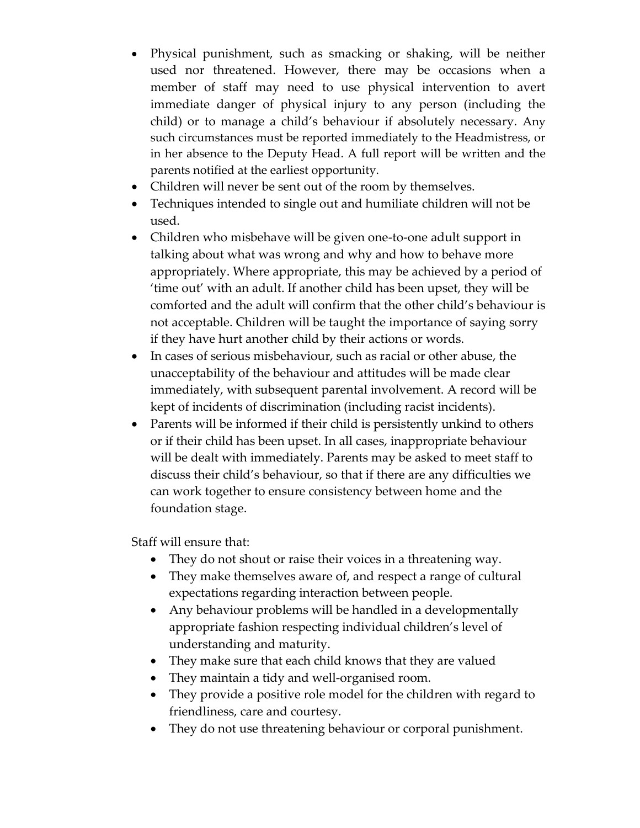- Physical punishment, such as smacking or shaking, will be neither used nor threatened. However, there may be occasions when a member of staff may need to use physical intervention to avert immediate danger of physical injury to any person (including the child) or to manage a child's behaviour if absolutely necessary. Any such circumstances must be reported immediately to the Headmistress, or in her absence to the Deputy Head. A full report will be written and the parents notified at the earliest opportunity.
- Children will never be sent out of the room by themselves.
- Techniques intended to single out and humiliate children will not be used.
- Children who misbehave will be given one-to-one adult support in talking about what was wrong and why and how to behave more appropriately. Where appropriate, this may be achieved by a period of 'time out' with an adult. If another child has been upset, they will be comforted and the adult will confirm that the other child's behaviour is not acceptable. Children will be taught the importance of saying sorry if they have hurt another child by their actions or words.
- In cases of serious misbehaviour, such as racial or other abuse, the unacceptability of the behaviour and attitudes will be made clear immediately, with subsequent parental involvement. A record will be kept of incidents of discrimination (including racist incidents).
- Parents will be informed if their child is persistently unkind to others or if their child has been upset. In all cases, inappropriate behaviour will be dealt with immediately. Parents may be asked to meet staff to discuss their child's behaviour, so that if there are any difficulties we can work together to ensure consistency between home and the foundation stage.

Staff will ensure that:

- They do not shout or raise their voices in a threatening way.
- They make themselves aware of, and respect a range of cultural expectations regarding interaction between people.
- Any behaviour problems will be handled in a developmentally appropriate fashion respecting individual children's level of understanding and maturity.
- They make sure that each child knows that they are valued
- They maintain a tidy and well-organised room.
- They provide a positive role model for the children with regard to friendliness, care and courtesy.
- They do not use threatening behaviour or corporal punishment.